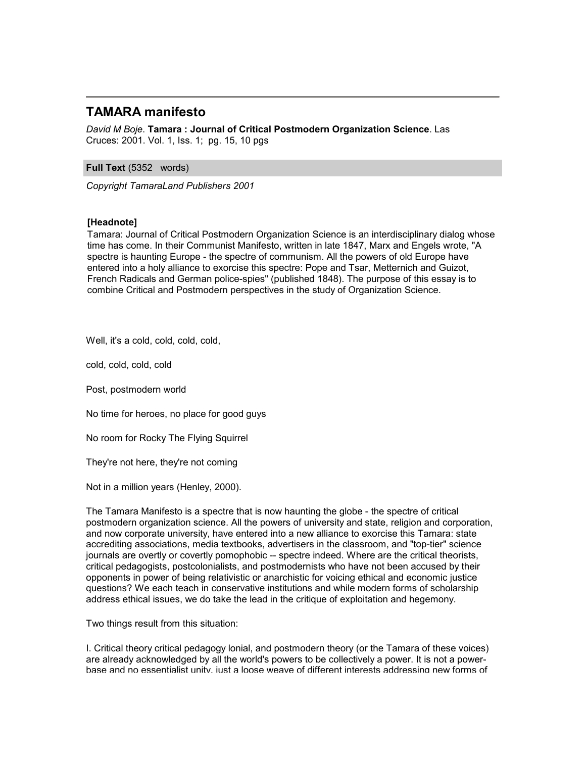# **TAMARA manifesto**

*David M Boje*. **Tamara : Journal of Critical Postmodern Organization Science**. Las Cruces: 2001. Vol. 1, Iss. 1; pg. 15, 10 pgs

## **Full Text** (5352 words)

*Copyright TamaraLand Publishers 2001*

## **[Headnote]**

Tamara: Journal of Critical Postmodern Organization Science is an interdisciplinary dialog whose time has come. In their Communist Manifesto, written in late 1847, Marx and Engels wrote, "A spectre is haunting Europe - the spectre of communism. All the powers of old Europe have entered into a holy alliance to exorcise this spectre: Pope and Tsar, Metternich and Guizot, French Radicals and German police-spies" (published 1848). The purpose of this essay is to combine Critical and Postmodern perspectives in the study of Organization Science.

Well, it's a cold, cold, cold, cold,

cold, cold, cold, cold

Post, postmodern world

No time for heroes, no place for good guys

No room for Rocky The Flying Squirrel

They're not here, they're not coming

Not in a million years (Henley, 2000).

The Tamara Manifesto is a spectre that is now haunting the globe - the spectre of critical postmodern organization science. All the powers of university and state, religion and corporation, and now corporate university, have entered into a new alliance to exorcise this Tamara: state accrediting associations, media textbooks, advertisers in the classroom, and "top-tier" science journals are overtly or covertly pomophobic -- spectre indeed. Where are the critical theorists, critical pedagogists, postcolonialists, and postmodernists who have not been accused by their opponents in power of being relativistic or anarchistic for voicing ethical and economic justice questions? We each teach in conservative institutions and while modern forms of scholarship address ethical issues, we do take the lead in the critique of exploitation and hegemony.

Two things result from this situation:

I. Critical theory critical pedagogy lonial, and postmodern theory (or the Tamara of these voices) are already acknowledged by all the world's powers to be collectively a power. It is not a powerbase and no essentialist unity, just a loose weave of different interests addressing new forms of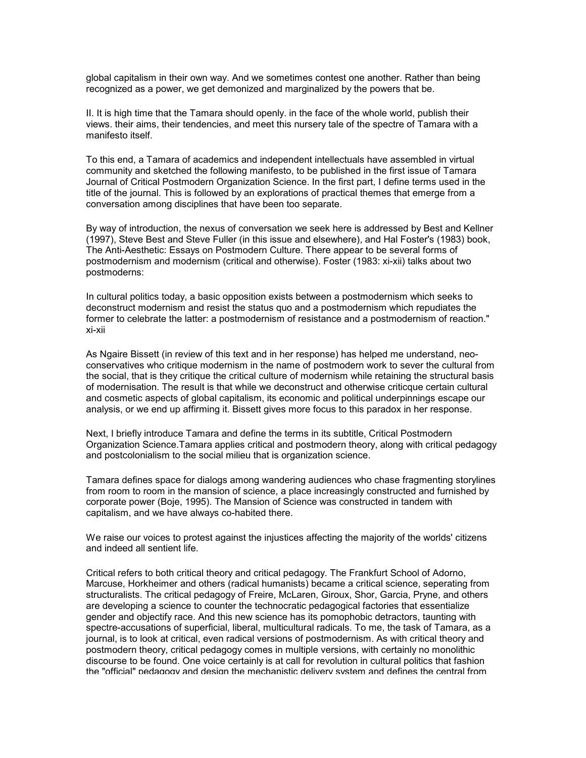global capitalism in their own way. And we sometimes contest one another. Rather than being recognized as a power, we get demonized and marginalized by the powers that be.

II. It is high time that the Tamara should openly. in the face of the whole world, publish their views. their aims, their tendencies, and meet this nursery tale of the spectre of Tamara with a manifesto itself.

To this end, a Tamara of academics and independent intellectuals have assembled in virtual community and sketched the following manifesto, to be published in the first issue of Tamara Journal of Critical Postmodern Organization Science. In the first part, I define terms used in the title of the journal. This is followed by an explorations of practical themes that emerge from a conversation among disciplines that have been too separate.

By way of introduction, the nexus of conversation we seek here is addressed by Best and Kellner (1997), Steve Best and Steve Fuller (in this issue and elsewhere), and Hal Foster's (1983) book, The Anti-Aesthetic: Essays on Postmodern Culture. There appear to be several forms of postmodernism and modernism (critical and otherwise). Foster (1983: xi-xii) talks about two postmoderns:

In cultural politics today, a basic opposition exists between a postmodernism which seeks to deconstruct modernism and resist the status quo and a postmodernism which repudiates the former to celebrate the latter: a postmodernism of resistance and a postmodernism of reaction." xi-xii

As Ngaire Bissett (in review of this text and in her response) has helped me understand, neoconservatives who critique modernism in the name of postmodern work to sever the cultural from the social, that is they critique the critical culture of modernism while retaining the structural basis of modernisation. The result is that while we deconstruct and otherwise criticque certain cultural and cosmetic aspects of global capitalism, its economic and political underpinnings escape our analysis, or we end up affirming it. Bissett gives more focus to this paradox in her response.

Next, I briefly introduce Tamara and define the terms in its subtitle, Critical Postmodern Organization Science.Tamara applies critical and postmodern theory, along with critical pedagogy and postcolonialism to the social milieu that is organization science.

Tamara defines space for dialogs among wandering audiences who chase fragmenting storylines from room to room in the mansion of science, a place increasingly constructed and furnished by corporate power (Boje, 1995). The Mansion of Science was constructed in tandem with capitalism, and we have always co-habited there.

We raise our voices to protest against the injustices affecting the majority of the worlds' citizens and indeed all sentient life.

Critical refers to both critical theory and critical pedagogy. The Frankfurt School of Adorno, Marcuse, Horkheimer and others (radical humanists) became a critical science, seperating from structuralists. The critical pedagogy of Freire, McLaren, Giroux, Shor, Garcia, Pryne, and others are developing a science to counter the technocratic pedagogical factories that essentialize gender and objectify race. And this new science has its pomophobic detractors, taunting with spectre-accusations of superficial, liberal, multicultural radicals. To me, the task of Tamara, as a journal, is to look at critical, even radical versions of postmodernism. As with critical theory and postmodern theory, critical pedagogy comes in multiple versions, with certainly no monolithic discourse to be found. One voice certainly is at call for revolution in cultural politics that fashion the "official" pedagogy and design the mechanistic delivery system and defines the central from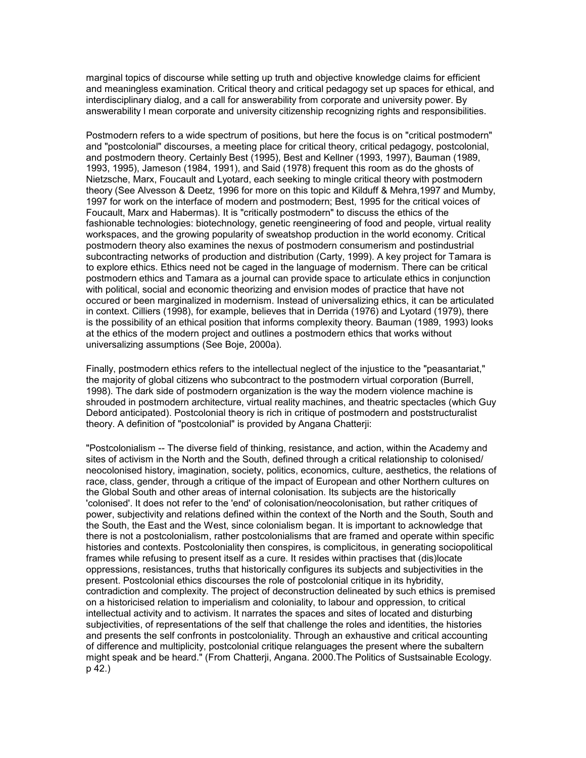marginal topics of discourse while setting up truth and objective knowledge claims for efficient and meaningless examination. Critical theory and critical pedagogy set up spaces for ethical, and interdisciplinary dialog, and a call for answerability from corporate and university power. By answerability I mean corporate and university citizenship recognizing rights and responsibilities.

Postmodern refers to a wide spectrum of positions, but here the focus is on "critical postmodern" and "postcolonial" discourses, a meeting place for critical theory, critical pedagogy, postcolonial, and postmodern theory. Certainly Best (1995), Best and Kellner (1993, 1997), Bauman (1989, 1993, 1995), Jameson (1984, 1991), and Said (1978) frequent this room as do the ghosts of Nietzsche, Marx, Foucault and Lyotard, each seeking to mingle critical theory with postmodern theory (See Alvesson & Deetz, 1996 for more on this topic and Kilduff & Mehra,1997 and Mumby, 1997 for work on the interface of modern and postmodern; Best, 1995 for the critical voices of Foucault, Marx and Habermas). It is "critically postmodern" to discuss the ethics of the fashionable technologies: biotechnology, genetic reengineering of food and people, virtual reality workspaces, and the growing popularity of sweatshop production in the world economy. Critical postmodern theory also examines the nexus of postmodern consumerism and postindustrial subcontracting networks of production and distribution (Carty, 1999). A key project for Tamara is to explore ethics. Ethics need not be caged in the language of modernism. There can be critical postmodern ethics and Tamara as a journal can provide space to articulate ethics in conjunction with political, social and economic theorizing and envision modes of practice that have not occured or been marginalized in modernism. Instead of universalizing ethics, it can be articulated in context. Cilliers (1998), for example, believes that in Derrida (1976) and Lyotard (1979), there is the possibility of an ethical position that informs complexity theory. Bauman (1989, 1993) looks at the ethics of the modern project and outlines a postmodern ethics that works without universalizing assumptions (See Boje, 2000a).

Finally, postmodern ethics refers to the intellectual neglect of the injustice to the "peasantariat," the majority of global citizens who subcontract to the postmodern virtual corporation (Burrell, 1998). The dark side of postmodern organization is the way the modern violence machine is shrouded in postmodern architecture, virtual reality machines, and theatric spectacles (which Guy Debord anticipated). Postcolonial theory is rich in critique of postmodern and poststructuralist theory. A definition of "postcolonial" is provided by Angana Chatterji:

"Postcolonialism -- The diverse field of thinking, resistance, and action, within the Academy and sites of activism in the North and the South, defined through a critical relationship to colonised/ neocolonised history, imagination, society, politics, economics, culture, aesthetics, the relations of race, class, gender, through a critique of the impact of European and other Northern cultures on the Global South and other areas of internal colonisation. Its subjects are the historically 'colonised'. It does not refer to the 'end' of colonisation/neocolonisation, but rather critiques of power, subjectivity and relations defined within the context of the North and the South, South and the South, the East and the West, since colonialism began. It is important to acknowledge that there is not a postcolonialism, rather postcolonialisms that are framed and operate within specific histories and contexts. Postcoloniality then conspires, is complicitous, in generating sociopolitical frames while refusing to present itself as a cure. It resides within practises that (dis)locate oppressions, resistances, truths that historically configures its subjects and subjectivities in the present. Postcolonial ethics discourses the role of postcolonial critique in its hybridity, contradiction and complexity. The project of deconstruction delineated by such ethics is premised on a historicised relation to imperialism and coloniality, to labour and oppression, to critical intellectual activity and to activism. It narrates the spaces and sites of located and disturbing subjectivities, of representations of the self that challenge the roles and identities, the histories and presents the self confronts in postcoloniality. Through an exhaustive and critical accounting of difference and multiplicity, postcolonial critique relanguages the present where the subaltern might speak and be heard." (From Chatterji, Angana. 2000.The Politics of Sustsainable Ecology. p 42.)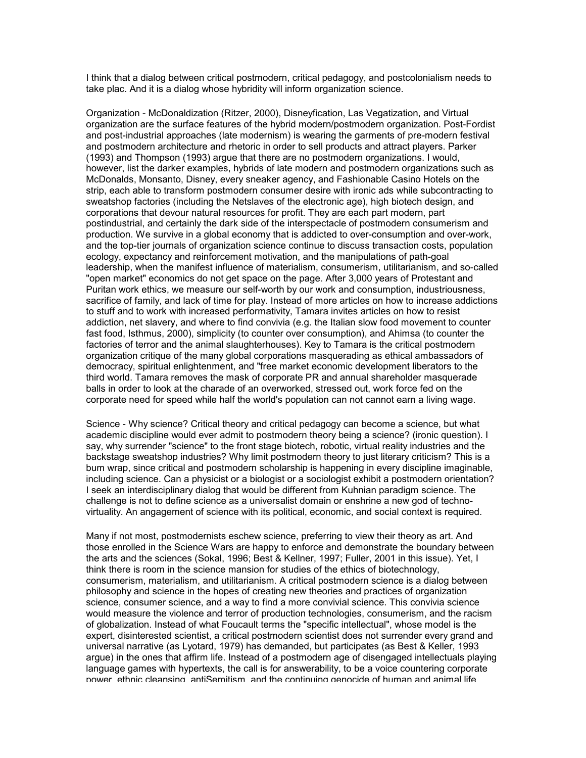I think that a dialog between critical postmodern, critical pedagogy, and postcolonialism needs to take plac. And it is a dialog whose hybridity will inform organization science.

Organization - McDonaldization (Ritzer, 2000), Disneyfication, Las Vegatization, and Virtual organization are the surface features of the hybrid modern/postmodern organization. Post-Fordist and post-industrial approaches (late modernism) is wearing the garments of pre-modern festival and postmodern architecture and rhetoric in order to sell products and attract players. Parker (1993) and Thompson (1993) argue that there are no postmodern organizations. I would, however, list the darker examples, hybrids of late modern and postmodern organizations such as McDonalds, Monsanto, Disney, every sneaker agency, and Fashionable Casino Hotels on the strip, each able to transform postmodern consumer desire with ironic ads while subcontracting to sweatshop factories (including the Netslaves of the electronic age), high biotech design, and corporations that devour natural resources for profit. They are each part modern, part postindustrial, and certainly the dark side of the interspectacle of postmodern consumerism and production. We survive in a global economy that is addicted to over-consumption and over-work, and the top-tier journals of organization science continue to discuss transaction costs, population ecology, expectancy and reinforcement motivation, and the manipulations of path-goal leadership, when the manifest influence of materialism, consumerism, utilitarianism, and so-called "open market" economics do not get space on the page. After 3,000 years of Protestant and Puritan work ethics, we measure our self-worth by our work and consumption, industriousness, sacrifice of family, and lack of time for play. Instead of more articles on how to increase addictions to stuff and to work with increased performativity, Tamara invites articles on how to resist addiction, net slavery, and where to find convivia (e.g. the Italian slow food movement to counter fast food, Isthmus, 2000), simplicity (to counter over consumption), and Ahimsa (to counter the factories of terror and the animal slaughterhouses). Key to Tamara is the critical postmodern organization critique of the many global corporations masquerading as ethical ambassadors of democracy, spiritual enlightenment, and "free market economic development liberators to the third world. Tamara removes the mask of corporate PR and annual shareholder masquerade balls in order to look at the charade of an overworked, stressed out, work force fed on the corporate need for speed while half the world's population can not cannot earn a living wage.

Science - Why science? Critical theory and critical pedagogy can become a science, but what academic discipline would ever admit to postmodern theory being a science? (ironic question). I say, why surrender "science" to the front stage biotech, robotic, virtual reality industries and the backstage sweatshop industries? Why limit postmodern theory to just literary criticism? This is a bum wrap, since critical and postmodern scholarship is happening in every discipline imaginable, including science. Can a physicist or a biologist or a sociologist exhibit a postmodern orientation? I seek an interdisciplinary dialog that would be different from Kuhnian paradigm science. The challenge is not to define science as a universalist domain or enshrine a new god of technovirtuality. An angagement of science with its political, economic, and social context is required.

Many if not most, postmodernists eschew science, preferring to view their theory as art. And those enrolled in the Science Wars are happy to enforce and demonstrate the boundary between the arts and the sciences (Sokal, 1996; Best & Kellner, 1997; Fuller, 2001 in this issue). Yet, I think there is room in the science mansion for studies of the ethics of biotechnology, consumerism, materialism, and utilitarianism. A critical postmodern science is a dialog between philosophy and science in the hopes of creating new theories and practices of organization science, consumer science, and a way to find a more convivial science. This convivia science would measure the violence and terror of production technologies, consumerism, and the racism of globalization. Instead of what Foucault terms the "specific intellectual", whose model is the expert, disinterested scientist, a critical postmodern scientist does not surrender every grand and universal narrative (as Lyotard, 1979) has demanded, but participates (as Best & Keller, 1993 argue) in the ones that affirm life. Instead of a postmodern age of disengaged intellectuals playing language games with hypertexts, the call is for answerability, to be a voice countering corporate power, ethnic cleansing, antiSemitism, and the continuing genocide of human and animal life.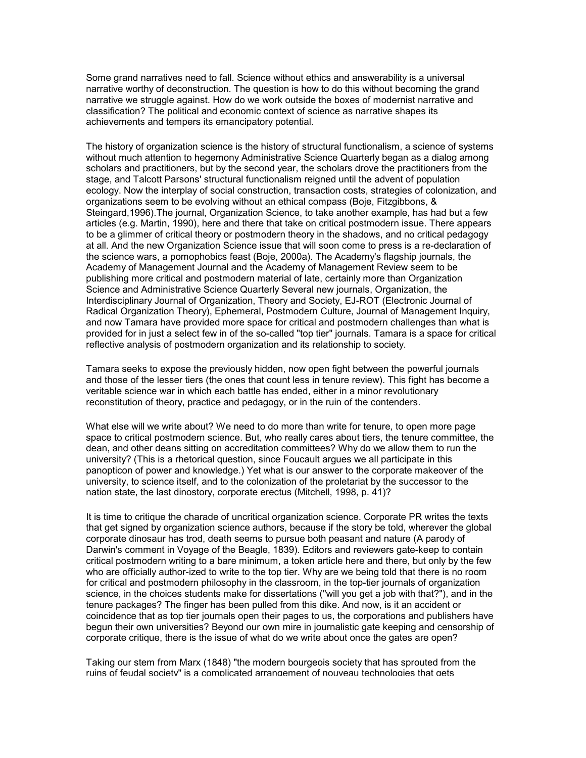Some grand narratives need to fall. Science without ethics and answerability is a universal narrative worthy of deconstruction. The question is how to do this without becoming the grand narrative we struggle against. How do we work outside the boxes of modernist narrative and classification? The political and economic context of science as narrative shapes its achievements and tempers its emancipatory potential.

The history of organization science is the history of structural functionalism, a science of systems without much attention to hegemony Administrative Science Quarterly began as a dialog among scholars and practitioners, but by the second year, the scholars drove the practitioners from the stage, and Talcott Parsons' structural functionalism reigned until the advent of population ecology. Now the interplay of social construction, transaction costs, strategies of colonization, and organizations seem to be evolving without an ethical compass (Boje, Fitzgibbons, & Steingard,1996).The journal, Organization Science, to take another example, has had but a few articles (e.g. Martin, 1990), here and there that take on critical postmodern issue. There appears to be a glimmer of critical theory or postmodern theory in the shadows, and no critical pedagogy at all. And the new Organization Science issue that will soon come to press is a re-declaration of the science wars, a pomophobics feast (Boje, 2000a). The Academy's flagship journals, the Academy of Management Journal and the Academy of Management Review seem to be publishing more critical and postmodern material of late, certainly more than Organization Science and Administrative Science Quarterly Several new journals, Organization, the Interdisciplinary Journal of Organization, Theory and Society, EJ-ROT (Electronic Journal of Radical Organization Theory), Ephemeral, Postmodern Culture, Journal of Management Inquiry, and now Tamara have provided more space for critical and postmodern challenges than what is provided for in just a select few in of the so-called "top tier" journals. Tamara is a space for critical reflective analysis of postmodern organization and its relationship to society.

Tamara seeks to expose the previously hidden, now open fight between the powerful journals and those of the lesser tiers (the ones that count less in tenure review). This fight has become a veritable science war in which each battle has ended, either in a minor revolutionary reconstitution of theory, practice and pedagogy, or in the ruin of the contenders.

What else will we write about? We need to do more than write for tenure, to open more page space to critical postmodern science. But, who really cares about tiers, the tenure committee, the dean, and other deans sitting on accreditation committees? Why do we allow them to run the university? (This is a rhetorical question, since Foucault argues we all participate in this panopticon of power and knowledge.) Yet what is our answer to the corporate makeover of the university, to science itself, and to the colonization of the proletariat by the successor to the nation state, the last dinostory, corporate erectus (Mitchell, 1998, p. 41)?

It is time to critique the charade of uncritical organization science. Corporate PR writes the texts that get signed by organization science authors, because if the story be told, wherever the global corporate dinosaur has trod, death seems to pursue both peasant and nature (A parody of Darwin's comment in Voyage of the Beagle, 1839). Editors and reviewers gate-keep to contain critical postmodern writing to a bare minimum, a token article here and there, but only by the few who are officially author-ized to write to the top tier. Why are we being told that there is no room for critical and postmodern philosophy in the classroom, in the top-tier journals of organization science, in the choices students make for dissertations ("will you get a job with that?"), and in the tenure packages? The finger has been pulled from this dike. And now, is it an accident or coincidence that as top tier journals open their pages to us, the corporations and publishers have begun their own universities? Beyond our own mire in journalistic gate keeping and censorship of corporate critique, there is the issue of what do we write about once the gates are open?

Taking our stem from Marx (1848) "the modern bourgeois society that has sprouted from the ruins of feudal society" is a complicated arrangement of nouveau technologies that gets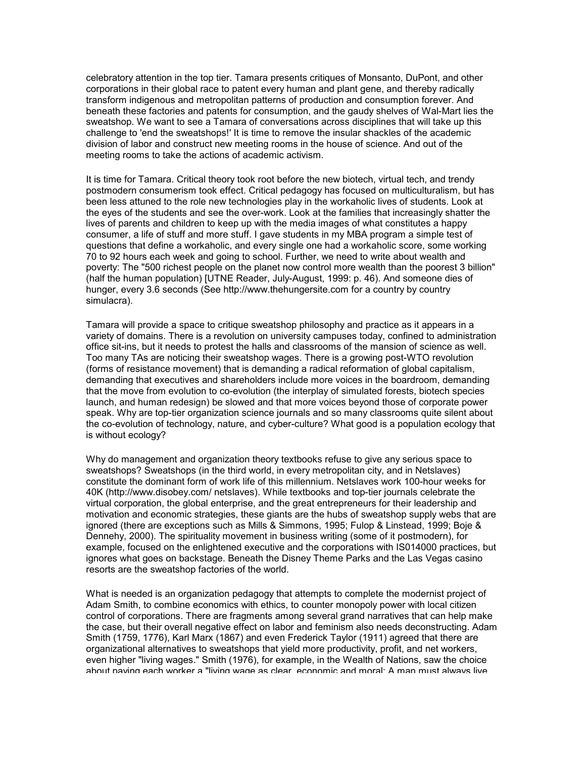celebratory attention in the top tier. Tamara presents critiques of Monsanto, DuPont, and other corporations in their global race to patent every human and plant gene, and thereby radically transform indigenous and metropolitan patterns of production and consumption forever. And beneath these factories and patents for consumption, and the gaudy shelves of Wal-Mart lies the sweatshop. We want to see a Tamara of conversations across disciplines that will take up this challenge to 'end the sweatshops!' It is time to remove the insular shackles of the academic division of labor and construct new meeting rooms in the house of science. And out of the meeting rooms to take the actions of academic activism.

It is time for Tamara. Critical theory took root before the new biotech, virtual tech, and trendy postmodern consumerism took effect. Critical pedagogy has focused on multiculturalism, but has been less attuned to the role new technologies play in the workaholic lives of students. Look at the eyes of the students and see the over-work. Look at the families that increasingly shatter the lives of parents and children to keep up with the media images of what constitutes a happy consumer, a life of stuff and more stuff. I gave students in my MBA program a simple test of questions that define a workaholic, and every single one had a workaholic score, some working 70 to 92 hours each week and going to school. Further, we need to write about wealth and poverty: The "500 richest people on the planet now control more wealth than the poorest 3 billion" (half the human population) [UTNE Reader, July-August, 1999: p. 46). And someone dies of hunger, every 3.6 seconds (See http://www.thehungersite.com for a country by country simulacra).

Tamara will provide a space to critique sweatshop philosophy and practice as it appears in a variety of domains. There is a revolution on university campuses today, confined to administration office sit-ins, but it needs to protest the halls and classrooms of the mansion of science as well. Too many TAs are noticing their sweatshop wages. There is a growing post-WTO revolution (forms of resistance movement) that is demanding a radical reformation of global capitalism, demanding that executives and shareholders include more voices in the boardroom, demanding that the move from evolution to co-evolution (the interplay of simulated forests, biotech species launch, and human redesign) be slowed and that more voices beyond those of corporate power speak. Why are top-tier organization science journals and so many classrooms quite silent about the co-evolution of technology, nature, and cyber-culture? What good is a population ecology that is without ecology?

Why do management and organization theory textbooks refuse to give any serious space to sweatshops? Sweatshops (in the third world, in every metropolitan city, and in Netslaves) constitute the dominant form of work life of this millennium. Netslaves work 100-hour weeks for 40K (http://www.disobey.com/ netslaves). While textbooks and top-tier journals celebrate the virtual corporation, the global enterprise, and the great entrepreneurs for their leadership and motivation and economic strategies, these giants are the hubs of sweatshop supply webs that are ignored (there are exceptions such as Mills & Simmons, 1995; Fulop & Linstead, 1999; Boje & Dennehy, 2000). The spirituality movement in business writing (some of it postmodern), for example, focused on the enlightened executive and the corporations with IS014000 practices, but ignores what goes on backstage. Beneath the Disney Theme Parks and the Las Vegas casino resorts are the sweatshop factories of the world.

What is needed is an organization pedagogy that attempts to complete the modernist project of Adam Smith, to combine economics with ethics, to counter monopoly power with local citizen control of corporations. There are fragments among several grand narratives that can help make the case, but their overall negative effect on labor and feminism also needs deconstructing. Adam Smith (1759, 1776), Karl Marx (1867) and even Frederick Taylor (1911) agreed that there are organizational alternatives to sweatshops that yield more productivity, profit, and net workers, even higher "living wages." Smith (1976), for example, in the Wealth of Nations, saw the choice about paying each worker a "living wage as clear, economic and moral: A man must always live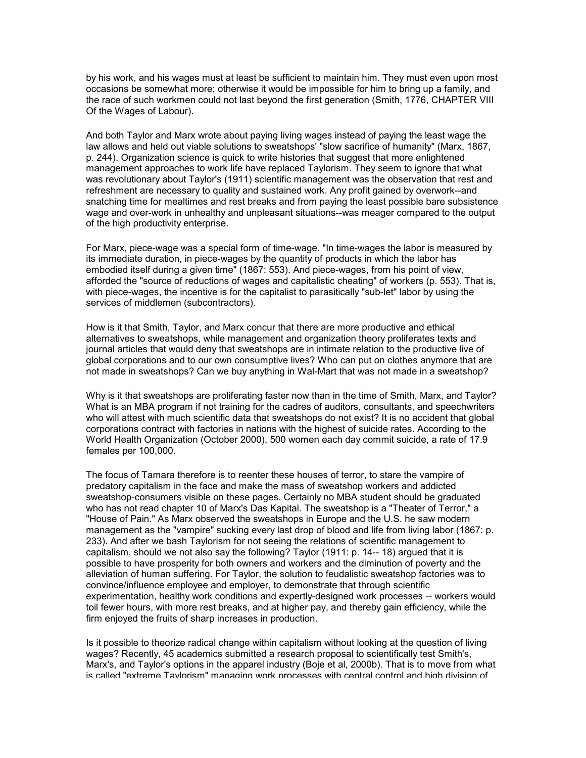by his work, and his wages must at least be sufficient to maintain him. They must even upon most occasions be somewhat more; otherwise it would be impossible for him to bring up a family, and the race of such workmen could not last beyond the first generation (Smith, 1776, CHAPTER VIII Of the Wages of Labour).

And both Taylor and Marx wrote about paying living wages instead of paying the least wage the law allows and held out viable solutions to sweatshops' "slow sacrifice of humanity" (Marx, 1867, p. 244). Organization science is quick to write histories that suggest that more enlightened management approaches to work life have replaced Taylorism. They seem to ignore that what was revolutionary about Taylor's (1911) scientific management was the observation that rest and refreshment are necessary to quality and sustained work. Any profit gained by overwork--and snatching time for mealtimes and rest breaks and from paying the least possible bare subsistence wage and over-work in unhealthy and unpleasant situations--was meager compared to the output of the high productivity enterprise.

For Marx, piece-wage was a special form of time-wage. "In time-wages the labor is measured by its immediate duration, in piece-wages by the quantity of products in which the labor has embodied itself during a given time" (1867: 553). And piece-wages, from his point of view, afforded the "source of reductions of wages and capitalistic cheating" of workers (p. 553). That is, with piece-wages, the incentive is for the capitalist to parasitically "sub-let" labor by using the services of middlemen (subcontractors).

How is it that Smith, Taylor, and Marx concur that there are more productive and ethical alternatives to sweatshops, while management and organization theory proliferates texts and journal articles that would deny that sweatshops are in intimate relation to the productive live of global corporations and to our own consumptive lives? Who can put on clothes anymore that are not made in sweatshops? Can we buy anything in Wal-Mart that was not made in a sweatshop?

Why is it that sweatshops are proliferating faster now than in the time of Smith, Marx, and Taylor? What is an MBA program if not training for the cadres of auditors, consultants, and speechwriters who will attest with much scientific data that sweatshops do not exist? It is no accident that global corporations contract with factories in nations with the highest of suicide rates. According to the World Health Organization (October 2000), 500 women each day commit suicide, a rate of 17.9 females per 100,000.

The focus of Tamara therefore is to reenter these houses of terror, to stare the vampire of predatory capitalism in the face and make the mass of sweatshop workers and addicted sweatshop-consumers visible on these pages. Certainly no MBA student should be graduated who has not read chapter 10 of Marx's Das Kapital. The sweatshop is a "Theater of Terror," a "House of Pain." As Marx observed the sweatshops in Europe and the U.S. he saw modern management as the "vampire" sucking every last drop of blood and life from living labor (1867: p. 233). And after we bash Taylorism for not seeing the relations of scientific management to capitalism, should we not also say the following? Taylor (1911: p. 14-- 18) argued that it is possible to have prosperity for both owners and workers and the diminution of poverty and the alleviation of human suffering. For Taylor, the solution to feudalistic sweatshop factories was to convince/influence employee and employer, to demonstrate that through scientific experimentation, healthy work conditions and expertly-designed work processes -- workers would toil fewer hours, with more rest breaks, and at higher pay, and thereby gain efficiency, while the firm enjoyed the fruits of sharp increases in production.

Is it possible to theorize radical change within capitalism without looking at the question of living wages? Recently, 45 academics submitted a research proposal to scientifically test Smith's, Marx's, and Taylor's options in the apparel industry (Boje et al, 2000b). That is to move from what is called "extreme Taylorism" managing work processes with central control and high division of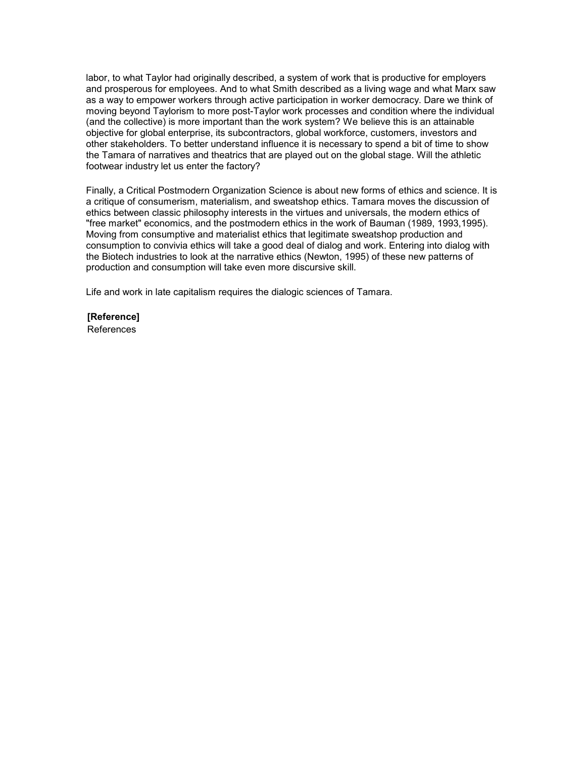labor, to what Taylor had originally described, a system of work that is productive for employers and prosperous for employees. And to what Smith described as a living wage and what Marx saw as a way to empower workers through active participation in worker democracy. Dare we think of moving beyond Taylorism to more post-Taylor work processes and condition where the individual (and the collective) is more important than the work system? We believe this is an attainable objective for global enterprise, its subcontractors, global workforce, customers, investors and other stakeholders. To better understand influence it is necessary to spend a bit of time to show the Tamara of narratives and theatrics that are played out on the global stage. Will the athletic footwear industry let us enter the factory?

Finally, a Critical Postmodern Organization Science is about new forms of ethics and science. It is a critique of consumerism, materialism, and sweatshop ethics. Tamara moves the discussion of ethics between classic philosophy interests in the virtues and universals, the modern ethics of "free market" economics, and the postmodern ethics in the work of Bauman (1989, 1993,1995). Moving from consumptive and materialist ethics that legitimate sweatshop production and consumption to convivia ethics will take a good deal of dialog and work. Entering into dialog with the Biotech industries to look at the narrative ethics (Newton, 1995) of these new patterns of production and consumption will take even more discursive skill.

Life and work in late capitalism requires the dialogic sciences of Tamara.

**[Reference]** References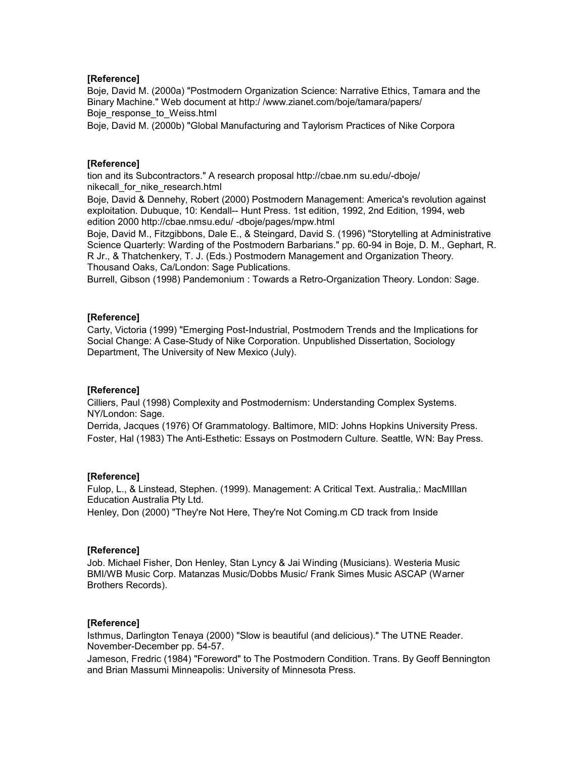## **[Reference]**

Boje, David M. (2000a) "Postmodern Organization Science: Narrative Ethics, Tamara and the Binary Machine." Web document at http:/ /www.zianet.com/boje/tamara/papers/ Boje\_response\_to\_Weiss.html

Boje, David M. (2000b) "Global Manufacturing and Taylorism Practices of Nike Corpora

## **[Reference]**

tion and its Subcontractors." A research proposal http://cbae.nm su.edu/-dboje/ nikecall\_for\_nike\_research.html

Boje, David & Dennehy, Robert (2000) Postmodern Management: America's revolution against exploitation. Dubuque, 10: Kendall-- Hunt Press. 1st edition, 1992, 2nd Edition, 1994, web edition 2000 http://cbae.nmsu.edu/ -dboje/pages/mpw.html

Boje, David M., Fitzgibbons, Dale E., & Steingard, David S. (1996) "Storytelling at Administrative Science Quarterly: Warding of the Postmodern Barbarians." pp. 60-94 in Boje, D. M., Gephart, R. R Jr., & Thatchenkery, T. J. (Eds.) Postmodern Management and Organization Theory. Thousand Oaks, Ca/London: Sage Publications.

Burrell, Gibson (1998) Pandemonium : Towards a Retro-Organization Theory. London: Sage.

## **[Reference]**

Carty, Victoria (1999) "Emerging Post-Industrial, Postmodern Trends and the Implications for Social Change: A Case-Study of Nike Corporation. Unpublished Dissertation, Sociology Department, The University of New Mexico (July).

## **[Reference]**

Cilliers, Paul (1998) Complexity and Postmodernism: Understanding Complex Systems. NY/London: Sage.

Derrida, Jacques (1976) Of Grammatology. Baltimore, MID: Johns Hopkins University Press. Foster, Hal (1983) The Anti-Esthetic: Essays on Postmodern Culture. Seattle, WN: Bay Press.

## **[Reference]**

Fulop, L., & Linstead, Stephen. (1999). Management: A Critical Text. Australia,: MacMIllan Education Australia Pty Ltd.

Henley, Don (2000) "They're Not Here, They're Not Coming.m CD track from Inside

## **[Reference]**

Job. Michael Fisher, Don Henley, Stan Lyncy & Jai Winding (Musicians). Westeria Music BMI/WB Music Corp. Matanzas Music/Dobbs Music/ Frank Simes Music ASCAP (Warner Brothers Records).

## **[Reference]**

Isthmus, Darlington Tenaya (2000) "Slow is beautiful (and delicious)." The UTNE Reader. November-December pp. 54-57.

Jameson, Fredric (1984) "Foreword" to The Postmodern Condition. Trans. By Geoff Bennington and Brian Massumi Minneapolis: University of Minnesota Press.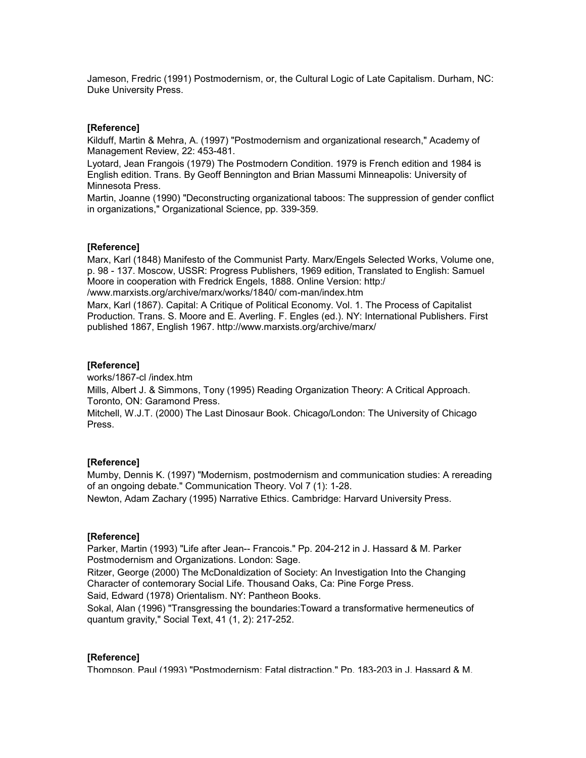Jameson, Fredric (1991) Postmodernism, or, the Cultural Logic of Late Capitalism. Durham, NC: Duke University Press.

#### **[Reference]**

Kilduff, Martin & Mehra, A. (1997) "Postmodernism and organizational research," Academy of Management Review, 22: 453-481.

Lyotard, Jean Frangois (1979) The Postmodern Condition. 1979 is French edition and 1984 is English edition. Trans. By Geoff Bennington and Brian Massumi Minneapolis: University of Minnesota Press.

Martin, Joanne (1990) "Deconstructing organizational taboos: The suppression of gender conflict in organizations," Organizational Science, pp. 339-359.

#### **[Reference]**

Marx, Karl (1848) Manifesto of the Communist Party. Marx/Engels Selected Works, Volume one, p. 98 - 137. Moscow, USSR: Progress Publishers, 1969 edition, Translated to English: Samuel Moore in cooperation with Fredrick Engels, 1888. Online Version: http:/ /www.marxists.org/archive/marx/works/1840/ com-man/index.htm

Marx, Karl (1867). Capital: A Critique of Political Economy. Vol. 1. The Process of Capitalist Production. Trans. S. Moore and E. Averling. F. Engles (ed.). NY: International Publishers. First published 1867, English 1967. http://www.marxists.org/archive/marx/

## **[Reference]**

works/1867-cl /index.htm

Mills, Albert J. & Simmons, Tony (1995) Reading Organization Theory: A Critical Approach. Toronto, ON: Garamond Press.

Mitchell, W.J.T. (2000) The Last Dinosaur Book. Chicago/London: The University of Chicago Press.

#### **[Reference]**

Mumby, Dennis K. (1997) "Modernism, postmodernism and communication studies: A rereading of an ongoing debate." Communication Theory. Vol 7 (1): 1-28.

Newton, Adam Zachary (1995) Narrative Ethics. Cambridge: Harvard University Press.

#### **[Reference]**

Parker, Martin (1993) "Life after Jean-- Francois." Pp. 204-212 in J. Hassard & M. Parker Postmodernism and Organizations. London: Sage.

Ritzer, George (2000) The McDonaldization of Society: An Investigation Into the Changing Character of contemorary Social Life. Thousand Oaks, Ca: Pine Forge Press.

Said, Edward (1978) Orientalism. NY: Pantheon Books.

Sokal, Alan (1996) "Transgressing the boundaries:Toward a transformative hermeneutics of quantum gravity," Social Text, 41 (1, 2): 217-252.

#### **[Reference]**

Thompson, Paul (1993) "Postmodernism: Fatal distraction." Pp. 183-203 in J. Hassard & M.